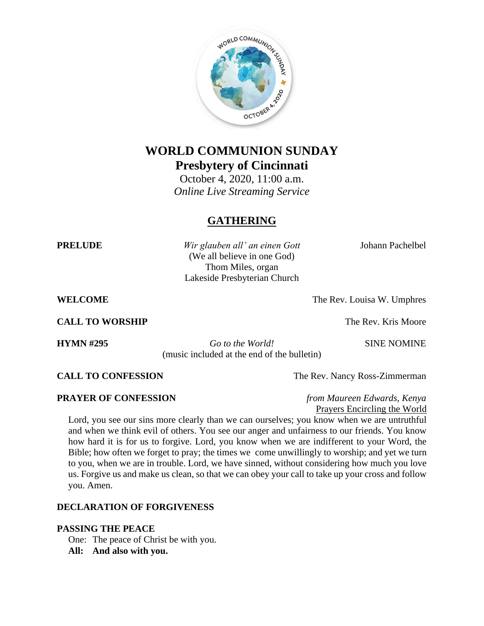

# **WORLD COMMUNION SUNDAY Presbytery of Cincinnati**

October 4, 2020, 11:00 a.m. *Online Live Streaming Service*

# **GATHERING**

**PRELUDE** *Wir glauben all' an einen Gott* Johann Pachelbel (We all believe in one God) Thom Miles, organ Lakeside Presbyterian Church

**WELCOME** The Rev. Louisa W. Umphres

**CALL TO WORSHIP** The Rev. Kris Moore

**HYMN #295** *Go to the World!* SINE NOMINE (music included at the end of the bulletin)

**CALL TO CONFESSION** The Rev. Nancy Ross-Zimmerman

**PRAYER OF CONFESSION** *from Maureen Edwards, Kenya* Prayers Encircling the World

Lord, you see our sins more clearly than we can ourselves; you know when we are untruthful and when we think evil of others. You see our anger and unfairness to our friends. You know how hard it is for us to forgive. Lord, you know when we are indifferent to your Word, the Bible; how often we forget to pray; the times we come unwillingly to worship; and yet we turn to you, when we are in trouble. Lord, we have sinned, without considering how much you love us. Forgive us and make us clean, so that we can obey your call to take up your cross and follow you. Amen.

# **DECLARATION OF FORGIVENESS**

### **PASSING THE PEACE**

One: The peace of Christ be with you. **All: And also with you.**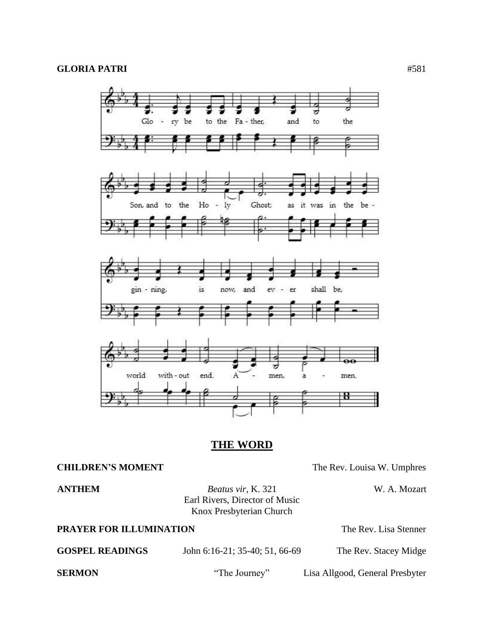

# **THE WORD**

### **CHILDREN'S MOMENT** The Rev. Louisa W. Umphres

**ANTHEM** *Beatus vir*, K. 321 W. A. Mozart Earl Rivers, Director of Music Knox Presbyterian Church

**PRAYER FOR ILLUMINATION** The Rev. Lisa Stenner

| <b>GOSPEL READINGS</b> | John 6:16-21; 35-40; 51, 66-69 | The Rev. Stacey Midge           |
|------------------------|--------------------------------|---------------------------------|
| <b>SERMON</b>          | "The Journey"                  | Lisa Allgood, General Presbyter |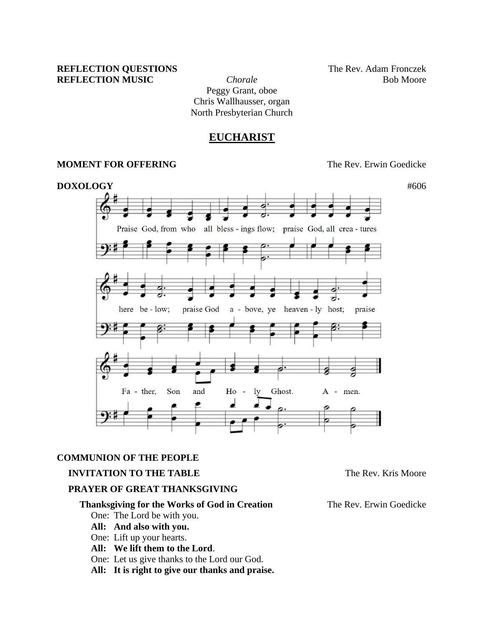### **REFLECTION QUESTIONS** The Rev. Adam Fronczek **REFLECTION MUSIC** *Chorale Chorale* Bob Moore

Peggy Grant, oboe Chris Wallhausser, organ North Presbyterian Church

# **EUCHARIST**

#### **MOMENT FOR OFFERING**  The Rev. Erwin Goedicke



#### **COMMUNION OF THE PEOPLE**

#### **INVITATION TO THE TABLE** THE **TABLE** The Rev. Kris Moore

# **PRAYER OF GREAT THANKSGIVING**

# **Thanksgiving for the Works of God in Creation** The Rev. Erwin Goedicke

One: The Lord be with you.

- **All: And also with you.**
- One: Lift up your hearts.
- **All: We lift them to the Lord**.
- One: Let us give thanks to the Lord our God.
- **All: It is right to give our thanks and praise.**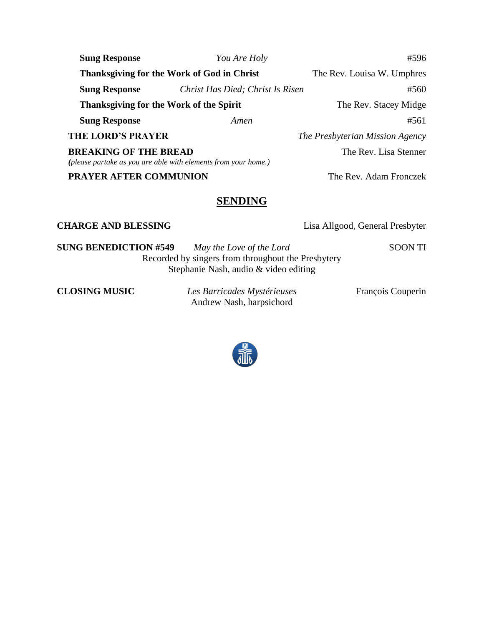| <b>Sung Response</b>                                                                           | You Are Holy                     | #596                            |
|------------------------------------------------------------------------------------------------|----------------------------------|---------------------------------|
| Thanksgiving for the Work of God in Christ                                                     |                                  | The Rev. Louisa W. Umphres      |
| <b>Sung Response</b>                                                                           | Christ Has Died; Christ Is Risen | #560                            |
| Thanksgiving for the Work of the Spirit                                                        |                                  | The Rev. Stacey Midge           |
| <b>Sung Response</b>                                                                           | Amen                             | #561                            |
| <b>THE LORD'S PRAYER</b>                                                                       |                                  | The Presbyterian Mission Agency |
| <b>BREAKING OF THE BREAD</b><br>(please partake as you are able with elements from your home.) |                                  | The Rev. Lisa Stenner           |
| <b>PRAYER AFTER COMMUNION</b>                                                                  |                                  | The Rev. Adam Fronczek          |

# **SENDING**

**CHARGE AND BLESSING** Lisa Allgood, General Presbyter

**SUNG BENEDICTION #549** *May the Love of the Lord* SOON TI Recorded by singers from throughout the Presbytery Stephanie Nash, audio & video editing

**CLOSING MUSIC** *Les Barricades Mystérieuses* François Couperin Andrew Nash, harpsichord

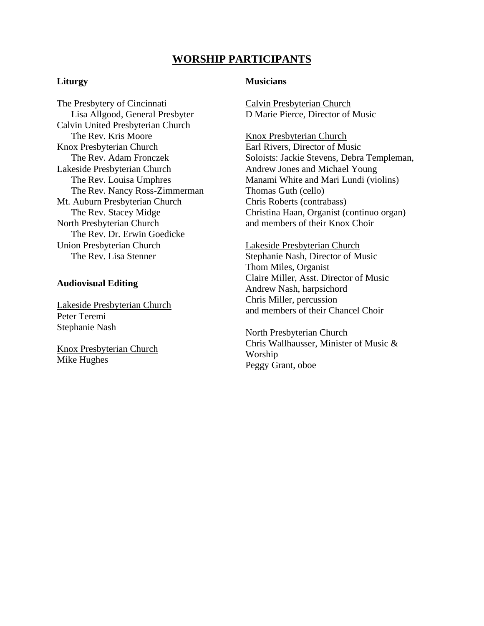# **WORSHIP PARTICIPANTS**

### **Liturgy**

The Presbytery of Cincinnati Lisa Allgood, General Presbyter Calvin United Presbyterian Church The Rev. Kris Moore Knox Presbyterian Church The Rev. Adam Fronczek Lakeside Presbyterian Church The Rev. Louisa Umphres The Rev. Nancy Ross-Zimmerman Mt. Auburn Presbyterian Church The Rev. Stacey Midge North Presbyterian Church The Rev. Dr. Erwin Goedicke Union Presbyterian Church The Rev. Lisa Stenner

#### **Audiovisual Editing**

Lakeside Presbyterian Church Peter Teremi Stephanie Nash

Knox Presbyterian Church Mike Hughes

#### **Musicians**

Calvin Presbyterian Church D Marie Pierce, Director of Music

Knox Presbyterian Church Earl Rivers, Director of Music Soloists: Jackie Stevens, Debra Templeman, Andrew Jones and Michael Young Manami White and Mari Lundi (violins) Thomas Guth (cello) Chris Roberts (contrabass) Christina Haan, Organist (continuo organ) and members of their Knox Choir

Lakeside Presbyterian Church Stephanie Nash, Director of Music Thom Miles, Organist Claire Miller, Asst. Director of Music Andrew Nash, harpsichord Chris Miller, percussion and members of their Chancel Choir

North Presbyterian Church Chris Wallhausser, Minister of Music & Worship Peggy Grant, oboe